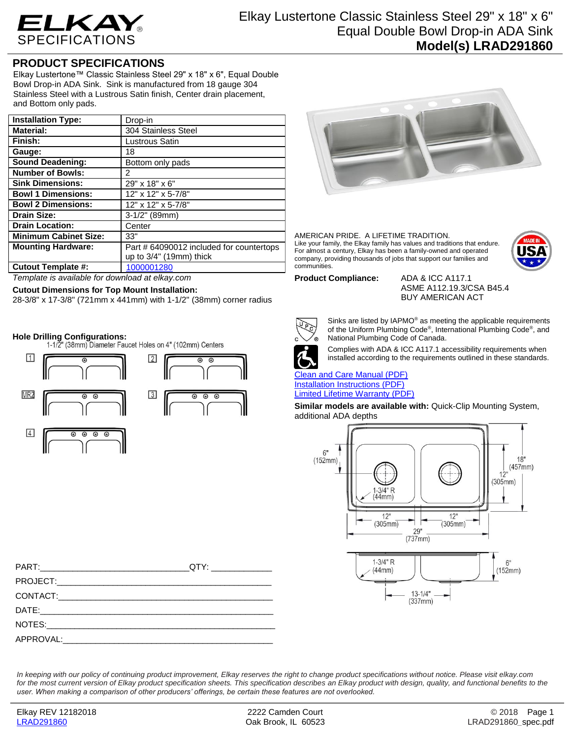

## **PRODUCT SPECIFICATIONS**

Elkay Lustertone™ Classic Stainless Steel 29" x 18" x 6", Equal Double Bowl Drop-in ADA Sink. Sink is manufactured from 18 gauge 304 Stainless Steel with a Lustrous Satin finish, Center drain placement, and Bottom only pads.

| <b>Installation Type:</b>    | Drop-in                                  |
|------------------------------|------------------------------------------|
| <b>Material:</b>             | 304 Stainless Steel                      |
| Finish:                      | Lustrous Satin                           |
| Gauge:                       | 18                                       |
| <b>Sound Deadening:</b>      | Bottom only pads                         |
| <b>Number of Bowls:</b>      | 2                                        |
| <b>Sink Dimensions:</b>      | 29" x 18" x 6"                           |
| <b>Bowl 1 Dimensions:</b>    | 12" x 12" x 5-7/8"                       |
| <b>Bowl 2 Dimensions:</b>    | 12" x 12" x 5-7/8"                       |
| <b>Drain Size:</b>           | 3-1/2" (89mm)                            |
| <b>Drain Location:</b>       | Center                                   |
| <b>Minimum Cabinet Size:</b> | 33"                                      |
| <b>Mounting Hardware:</b>    | Part # 64090012 included for countertops |
|                              | up to $3/4$ " (19mm) thick               |
| <b>Cutout Template #:</b>    | 1000001280                               |

*Template is available for download at elkay.com*

### **Cutout Dimensions for Top Mount Installation:**

28-3/8" x 17-3/8" (721mm x 441mm) with 1-1/2" (38mm) corner radius

**Hole Drilling Configurations:**





AMERICAN PRIDE. A LIFETIME TRADITION. Like your family, the Elkay family has values and traditions that endure. For almost a century, Elkay has been a family-owned and operated company, providing thousands of jobs that support our families and communities.



**Product Compliance:** ADA & ICC A117.1

ASME A112.19.3/CSA B45.4 BUY AMERICAN ACT



Sinks are listed by IAPMO® as meeting the applicable requirements of the Uniform Plumbing Code® , International Plumbing Code® , and National Plumbing Code of Canada.



Complies with ADA & ICC A117.1 accessibility requirements when installed according to the requirements outlined in these standards.

[Clean and Care Manual \(PDF\)](http://www.elkay.com/wcsstore/lkdocs/care-cleaning-install-warranty-sheets/residential%20and%20commercial%20care%20%20cleaning.pdf) [Installation Instructions \(PDF\)](http://www.elkay.com/wcsstore/lkdocs/care-cleaning-install-warranty-sheets/74180147.pdf) [Limited Lifetime Warranty](http://www.elkay.com/wcsstore/lkdocs/care-cleaning-install-warranty-sheets/residential%20sinks%20warranty.pdf) (PDF)

**Similar models are available with:** Quick-Clip Mounting System, additional ADA depths



*In keeping with our policy of continuing product improvement, Elkay reserves the right to change product specifications without notice. Please visit elkay.com*  for the most current version of Elkay product specification sheets. This specification describes an Elkay product with design, quality, and functional benefits to the *user. When making a comparison of other producers' offerings, be certain these features are not overlooked.*